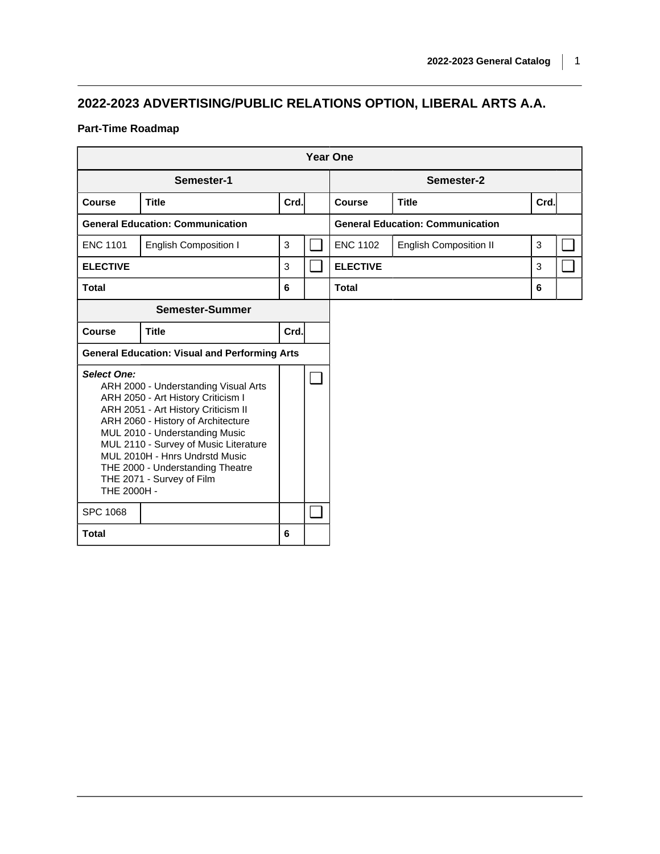## **2022-2023 ADVERTISING/PUBLIC RELATIONS OPTION, LIBERAL ARTS A.A.**

## **Part-Time Roadmap**

|                                   |                                                                                                                                                                                                                                                                                                                                       |      |                          | <b>Year One</b> |                                         |      |  |
|-----------------------------------|---------------------------------------------------------------------------------------------------------------------------------------------------------------------------------------------------------------------------------------------------------------------------------------------------------------------------------------|------|--------------------------|-----------------|-----------------------------------------|------|--|
|                                   | Semester-1                                                                                                                                                                                                                                                                                                                            |      |                          |                 | Semester-2                              |      |  |
| Course                            | <b>Title</b>                                                                                                                                                                                                                                                                                                                          | Crd. |                          | <b>Course</b>   | <b>Title</b>                            | Crd. |  |
|                                   | <b>General Education: Communication</b>                                                                                                                                                                                                                                                                                               |      |                          |                 | <b>General Education: Communication</b> |      |  |
| <b>ENC 1101</b>                   | <b>English Composition I</b>                                                                                                                                                                                                                                                                                                          | 3    |                          | <b>ENC 1102</b> | <b>English Composition II</b>           | 3    |  |
| <b>ELECTIVE</b>                   |                                                                                                                                                                                                                                                                                                                                       | 3    | $\overline{\phantom{a}}$ | <b>ELECTIVE</b> |                                         | 3    |  |
| <b>Total</b>                      |                                                                                                                                                                                                                                                                                                                                       | 6    |                          | <b>Total</b>    |                                         | 6    |  |
|                                   | Semester-Summer                                                                                                                                                                                                                                                                                                                       |      |                          |                 |                                         |      |  |
| Course                            | <b>Title</b>                                                                                                                                                                                                                                                                                                                          | Crd. |                          |                 |                                         |      |  |
|                                   | <b>General Education: Visual and Performing Arts</b>                                                                                                                                                                                                                                                                                  |      |                          |                 |                                         |      |  |
| <b>Select One:</b><br>THE 2000H - | ARH 2000 - Understanding Visual Arts<br>ARH 2050 - Art History Criticism I<br>ARH 2051 - Art History Criticism II<br>ARH 2060 - History of Architecture<br>MUL 2010 - Understanding Music<br>MUL 2110 - Survey of Music Literature<br>MUL 2010H - Hnrs Undrstd Music<br>THE 2000 - Understanding Theatre<br>THE 2071 - Survey of Film |      | ┓                        |                 |                                         |      |  |
| <b>SPC 1068</b>                   |                                                                                                                                                                                                                                                                                                                                       |      | ┓                        |                 |                                         |      |  |
| <b>Total</b>                      |                                                                                                                                                                                                                                                                                                                                       | 6    |                          |                 |                                         |      |  |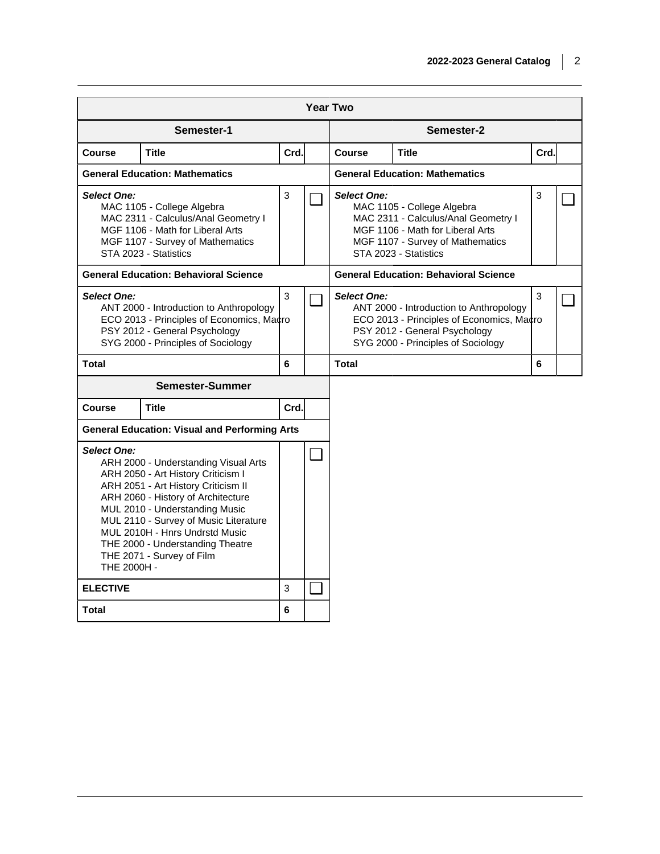|                                   |                                                                                                                                                                                                                                                                                                                                       |      |     | <b>Year Two</b>    |                                                                                                                                                                    |              |  |
|-----------------------------------|---------------------------------------------------------------------------------------------------------------------------------------------------------------------------------------------------------------------------------------------------------------------------------------------------------------------------------------|------|-----|--------------------|--------------------------------------------------------------------------------------------------------------------------------------------------------------------|--------------|--|
|                                   | Semester-1                                                                                                                                                                                                                                                                                                                            |      |     |                    | Semester-2                                                                                                                                                         |              |  |
| <b>Course</b>                     | Title                                                                                                                                                                                                                                                                                                                                 | Crd. |     | Course             | <b>Title</b>                                                                                                                                                       | Crd.         |  |
|                                   | <b>General Education: Mathematics</b>                                                                                                                                                                                                                                                                                                 |      |     |                    | <b>General Education: Mathematics</b>                                                                                                                              |              |  |
| Select One:                       | MAC 1105 - College Algebra<br>MAC 2311 - Calculus/Anal Geometry I<br>MGF 1106 - Math for Liberal Arts<br>MGF 1107 - Survey of Mathematics<br>STA 2023 - Statistics                                                                                                                                                                    | 3    |     | <b>Select One:</b> | MAC 1105 - College Algebra<br>MAC 2311 - Calculus/Anal Geometry I<br>MGF 1106 - Math for Liberal Arts<br>MGF 1107 - Survey of Mathematics<br>STA 2023 - Statistics | $\mathbf{3}$ |  |
|                                   | <b>General Education: Behavioral Science</b>                                                                                                                                                                                                                                                                                          |      |     |                    | <b>General Education: Behavioral Science</b>                                                                                                                       |              |  |
| <b>Select One:</b>                | ANT 2000 - Introduction to Anthropology<br>ECO 2013 - Principles of Economics, Macro<br>PSY 2012 - General Psychology<br>SYG 2000 - Principles of Sociology                                                                                                                                                                           | 3    |     | <b>Select One:</b> | ANT 2000 - Introduction to Anthropology<br>ECO 2013 - Principles of Economics, Macro<br>PSY 2012 - General Psychology<br>SYG 2000 - Principles of Sociology        | $\mathbf{3}$ |  |
| <b>Total</b>                      |                                                                                                                                                                                                                                                                                                                                       | 6    |     | <b>Total</b>       |                                                                                                                                                                    | 6            |  |
|                                   | <b>Semester-Summer</b>                                                                                                                                                                                                                                                                                                                |      |     |                    |                                                                                                                                                                    |              |  |
| <b>Course</b>                     | Title                                                                                                                                                                                                                                                                                                                                 | Crd. |     |                    |                                                                                                                                                                    |              |  |
|                                   | <b>General Education: Visual and Performing Arts</b>                                                                                                                                                                                                                                                                                  |      |     |                    |                                                                                                                                                                    |              |  |
| <b>Select One:</b><br>THE 2000H - | ARH 2000 - Understanding Visual Arts<br>ARH 2050 - Art History Criticism I<br>ARH 2051 - Art History Criticism II<br>ARH 2060 - History of Architecture<br>MUL 2010 - Understanding Music<br>MUL 2110 - Survey of Music Literature<br>MUL 2010H - Hnrs Undrstd Music<br>THE 2000 - Understanding Theatre<br>THE 2071 - Survey of Film |      | - 1 |                    |                                                                                                                                                                    |              |  |
| <b>ELECTIVE</b>                   |                                                                                                                                                                                                                                                                                                                                       | 3    | - 1 |                    |                                                                                                                                                                    |              |  |
| <b>Total</b>                      |                                                                                                                                                                                                                                                                                                                                       | 6    |     |                    |                                                                                                                                                                    |              |  |